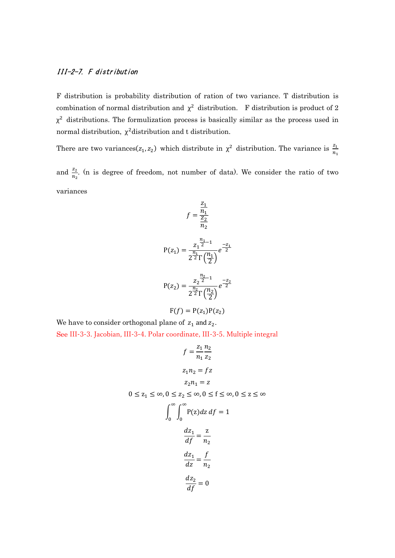## III-2-7. F distribution

F distribution is probability distribution of ration of two variance. T distribution is combination of normal distribution and  $\chi^2$  distribution. F distribution is product of 2  $\chi^2$  distributions. The formulization process is basically similar as the process used in normal distribution,  $\chi^2$  distribution and t distribution.

There are two variances( $z_1, z_2$ ) which distribute in  $\chi^2$  distribution. The variance is  $\frac{z_1}{n_1}$ 

and  $\frac{z_2}{n_2}$ . (n is degree of freedom, not number of data). We consider the ratio of two variances

$$
f = \frac{\frac{z_1}{n_1}}{\frac{z_2}{n_2}}
$$

$$
P(z_1) = \frac{z_1^{\frac{n_1}{2}-1}}{2^{\frac{n_1}{2}}\Gamma(\frac{n_1}{2})}e^{-\frac{z_1}{2}}
$$

$$
P(z_2) = \frac{z_2^{\frac{n_2}{2}-1}}{2^{\frac{n_2}{2}}\Gamma(\frac{n_2}{2})}e^{-\frac{z_2}{2}}
$$

$$
F(f) = P(z_1)P(z_2)
$$

We have to consider orthogonal plane of  $z_1$  and  $z_2$ .

See III-3-3. Jacobian, III-3-4. Polar coordinate, III-3-5. Multiple integral

$$
f = \frac{z_1 n_2}{n_1 z_2}
$$
  
\n
$$
z_1 n_2 = f z
$$
  
\n
$$
z_2 n_1 = z
$$
  
\n
$$
0 \le z_1 \le \infty, 0 \le z_2 \le \infty, 0 \le f \le \infty, 0 \le z \le \infty
$$
  
\n
$$
\int_0^\infty \int_0^\infty P(z) dz df = 1
$$
  
\n
$$
\frac{dz_1}{df} = \frac{z}{n_2}
$$
  
\n
$$
\frac{dz_1}{dz} = \frac{f}{n_2}
$$
  
\n
$$
\frac{dz_2}{df} = 0
$$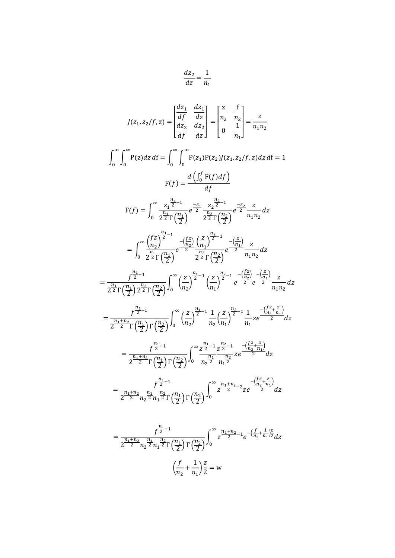$$
\frac{dz_2}{dz} = \frac{1}{n_1}
$$

$$
J(z_1, z_2/f, z) = \begin{vmatrix} \frac{dz_1}{df} & \frac{dz_1}{dz} \\ \frac{dz_2}{df} & \frac{dz_2}{dz} \end{vmatrix} = \begin{vmatrix} \frac{z}{n_2} & \frac{f}{n_2} \\ 0 & \frac{1}{n_1} \end{vmatrix} = \frac{z}{n_1 n_2}
$$
  

$$
\int_0^\infty \int_0^\infty P(z) dz dt = \int_0^\infty \int_0^\infty P(z_1) P(z_2) J(z_1, z_2/f, z) dz dt = 1
$$
  

$$
F(f) = \frac{d \left( \int_0^f F(f) df \right)}{df}
$$
  

$$
F(f) = \int_0^\infty \frac{z_1^{\frac{n_1}{2}-1}}{2^{\frac{n_1}{2}} \Gamma(\frac{n_1}{2})} e^{-\frac{z_1}{2}} \frac{z_2^{\frac{n_2}{2}-1}}{2^{\frac{n_2}{2}} \Gamma(\frac{n_2}{2})} e^{-\frac{z_2}{2}} \frac{z}{n_1 n_2} dz
$$
  

$$
= \int_0^\infty \frac{\left( \frac{f}{n_2} \right)^{\frac{n_1}{2}-1}}{2^{\frac{n_1}{2}} \Gamma(\frac{n_1}{2})} e^{-\frac{\left( \frac{f}{n_2} \right)^2}{2^{\frac{n_2}{2}}} \Gamma(\frac{n_2}{2})} e^{-\frac{\left( \frac{z}{n_1} \right)^{\frac{n_2}{2}-1}}{2^{\frac{n_2}{2}}} \frac{z}{n_1 n_2} dz
$$
  

$$
= \frac{f^{\frac{n_1}{2}-1}}{2^{\frac{n_1}{2}} \Gamma(\frac{n_1}{2}) \frac{n_1}{2} \Gamma(\frac{n_2}{2})} \int_0^\infty \left( \frac{z}{n_2} \right)^{\frac{n_1}{2}-1} \left( \frac{z}{n_1} \right)^{\frac{n_2}{2}-1} e^{-\frac{\left( \frac{z}{n_1} \right)}{2}} \frac{z}{n_1 n_2} dz
$$
  

$$
= \frac{f^{\frac{n_1}{2}-1}}{2^{\frac{n_1}{2}} \Gamma(\frac{n_1}{2}) \Gamma(\frac{n_2}{2})} \int_0^\infty \left( \frac{z}{n_2} \
$$

$$
= \frac{f^{\frac{n_1}{2}-1}}{2^{\frac{n_1+n_2}{2}} n_2^{\frac{n_1}{2}} n_1^{\frac{n_2}{2}} \Gamma(\frac{n_1}{2}) \Gamma(\frac{n_2}{2})} \int_0^\infty z^{\frac{n_1+n_2}{2}-1} e^{-\left(\frac{f}{n_2} + \frac{1}{n_1}\right)^2} dz
$$

$$
\left(\frac{f}{n_2} + \frac{1}{n_1}\right)^{\frac{z}{2}} = w
$$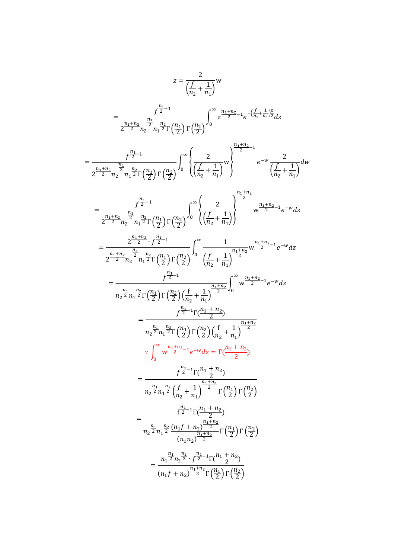$$
z = \frac{2}{\left(\frac{f}{n_2} + \frac{1}{n_1}\right)} w
$$
  
\n
$$
= \frac{\frac{f^{n_1}}{2} - 1}{2\frac{n_1 + n_2}{2} \cdot \frac{n_2}{2} n_1 \cdot \frac{n_2}{2} \Gamma\left(\frac{n_1}{2}\right) \Gamma\left(\frac{n_2}{2}\right)} \int_0^{\infty} \frac{2^{-\frac{n_1 + n_2}{2} - 1}}{2^{-\frac{n_1 + n_2}{2}} n_2 \cdot \frac{n_1}{2} \Gamma\left(\frac{n_1}{2}\right) \Gamma\left(\frac{n_2}{2}\right)} \int_0^{\infty} \left(\frac{2}{\left(\frac{f}{n_2} + \frac{1}{n_1}\right)} \right)^{\frac{n_1 + n_2}{2} - 1} e^{-w} \frac{2}{\left(\frac{f}{n_2} + \frac{1}{n_1}\right)} dw
$$
  
\n
$$
= \frac{\frac{f^{n_1}}{2} - 1}{2\frac{n_1 + n_2}{2} \cdot \frac{n_2}{2} n_1 \cdot \frac{n_2}{2} \Gamma\left(\frac{n_1}{2}\right) \Gamma\left(\frac{n_2}{2}\right)} \int_0^{\infty} \left(\frac{2}{\left(\frac{f}{n_2} + \frac{1}{n_1}\right)}\right)^{\frac{n_1 + n_2}{2}} w^{\frac{n_1 + n_2}{2} - 1} e^{-w} dz
$$
  
\n
$$
= \frac{\frac{p_1 + n_2}{2} - \frac{n_2}{2} n_1 \cdot \frac{n_2}{2} \Gamma\left(\frac{n_1}{2}\right) \Gamma\left(\frac{n_2}{2}\right)}{\left(\frac{n_2}{2} + \frac{1}{n_1}\right)^{\frac{n_1 + n_2}{2}} \sqrt{2}} \int_0^{\infty} \frac{1}{\left(\frac{f}{n_2} + \frac{1}{n_1}\right)^{\frac{n_1 + n_2}{2}} 1} e^{-w} dz
$$
  
\n
$$
= \frac{\frac{p_1 + n_2}{2} - \frac{n_2}{2} n_1 \cdot \frac{n_2}{2} \Gamma\left(\frac{n_1}{2}\right) \Gamma\left(\frac{n_2}{2}\right)} \left(\frac{\frac{f}{n_2} + \frac{1}{n_1}\right)^{\frac{n_1 + n
$$